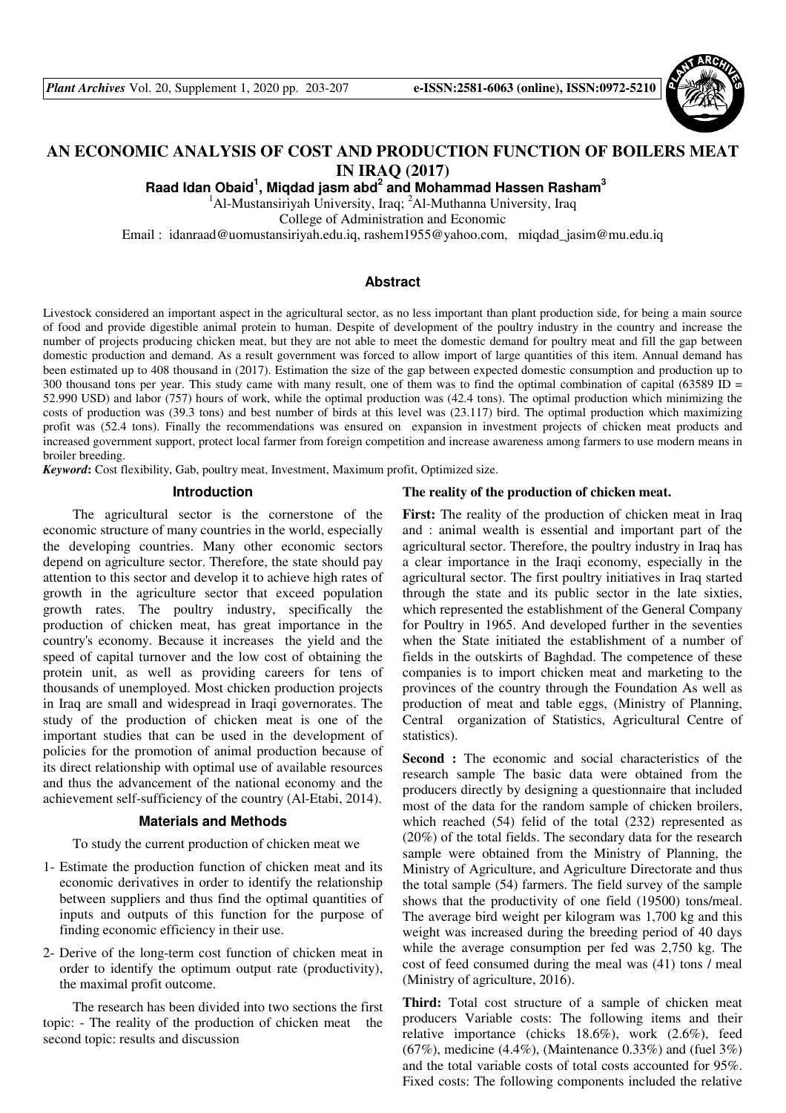

# **AN ECONOMIC ANALYSIS OF COST AND PRODUCTION FUNCTION OF BOILERS MEAT IN IRAQ (2017)**

**Raad Idan Obaid<sup>1</sup> , Miqdad jasm abd<sup>2</sup> and Mohammad Hassen Rasham<sup>3</sup>** 

<sup>1</sup>Al-Mustansiriyah University, Iraq; <sup>2</sup>Al-Muthanna University, Iraq

College of Administration and Economic

Email : idanraad@uomustansiriyah.edu.iq, rashem1955@yahoo.com, miqdad\_jasim@mu.edu.iq

#### **Abstract**

Livestock considered an important aspect in the agricultural sector, as no less important than plant production side, for being a main source of food and provide digestible animal protein to human. Despite of development of the poultry industry in the country and increase the number of projects producing chicken meat, but they are not able to meet the domestic demand for poultry meat and fill the gap between domestic production and demand. As a result government was forced to allow import of large quantities of this item. Annual demand has been estimated up to 408 thousand in (2017). Estimation the size of the gap between expected domestic consumption and production up to 300 thousand tons per year. This study came with many result, one of them was to find the optimal combination of capital (63589 ID = 52.990 USD) and labor (757) hours of work, while the optimal production was (42.4 tons). The optimal production which minimizing the costs of production was (39.3 tons) and best number of birds at this level was (23.117) bird. The optimal production which maximizing profit was (52.4 tons). Finally the recommendations was ensured on expansion in investment projects of chicken meat products and increased government support, protect local farmer from foreign competition and increase awareness among farmers to use modern means in broiler breeding.

*Keyword***:** Cost flexibility, Gab, poultry meat, Investment, Maximum profit, Optimized size.

#### **Introduction**

The agricultural sector is the cornerstone of the economic structure of many countries in the world, especially the developing countries. Many other economic sectors depend on agriculture sector. Therefore, the state should pay attention to this sector and develop it to achieve high rates of growth in the agriculture sector that exceed population growth rates. The poultry industry, specifically the production of chicken meat, has great importance in the country's economy. Because it increases the yield and the speed of capital turnover and the low cost of obtaining the protein unit, as well as providing careers for tens of thousands of unemployed. Most chicken production projects in Iraq are small and widespread in Iraqi governorates. The study of the production of chicken meat is one of the important studies that can be used in the development of policies for the promotion of animal production because of its direct relationship with optimal use of available resources and thus the advancement of the national economy and the achievement self-sufficiency of the country (Al-Etabi, 2014).

#### **Materials and Methods**

To study the current production of chicken meat we

- 1- Estimate the production function of chicken meat and its economic derivatives in order to identify the relationship between suppliers and thus find the optimal quantities of inputs and outputs of this function for the purpose of finding economic efficiency in their use.
- 2- Derive of the long-term cost function of chicken meat in order to identify the optimum output rate (productivity), the maximal profit outcome.

The research has been divided into two sections the first topic: - The reality of the production of chicken meat the second topic: results and discussion

#### **The reality of the production of chicken meat.**

**First:** The reality of the production of chicken meat in Iraq and : animal wealth is essential and important part of the agricultural sector. Therefore, the poultry industry in Iraq has a clear importance in the Iraqi economy, especially in the agricultural sector. The first poultry initiatives in Iraq started through the state and its public sector in the late sixties, which represented the establishment of the General Company for Poultry in 1965. And developed further in the seventies when the State initiated the establishment of a number of fields in the outskirts of Baghdad. The competence of these companies is to import chicken meat and marketing to the provinces of the country through the Foundation As well as production of meat and table eggs, (Ministry of Planning, Central organization of Statistics, Agricultural Centre of statistics).

**Second :** The economic and social characteristics of the research sample The basic data were obtained from the producers directly by designing a questionnaire that included most of the data for the random sample of chicken broilers, which reached (54) felid of the total (232) represented as (20%) of the total fields. The secondary data for the research sample were obtained from the Ministry of Planning, the Ministry of Agriculture, and Agriculture Directorate and thus the total sample (54) farmers. The field survey of the sample shows that the productivity of one field (19500) tons/meal. The average bird weight per kilogram was 1,700 kg and this weight was increased during the breeding period of 40 days while the average consumption per fed was 2,750 kg. The cost of feed consumed during the meal was (41) tons / meal (Ministry of agriculture, 2016).

**Third:** Total cost structure of a sample of chicken meat producers Variable costs: The following items and their relative importance (chicks 18.6%), work (2.6%), feed  $(67\%)$ , medicine  $(4.4\%)$ , (Maintenance 0.33%) and (fuel 3%) and the total variable costs of total costs accounted for 95%. Fixed costs: The following components included the relative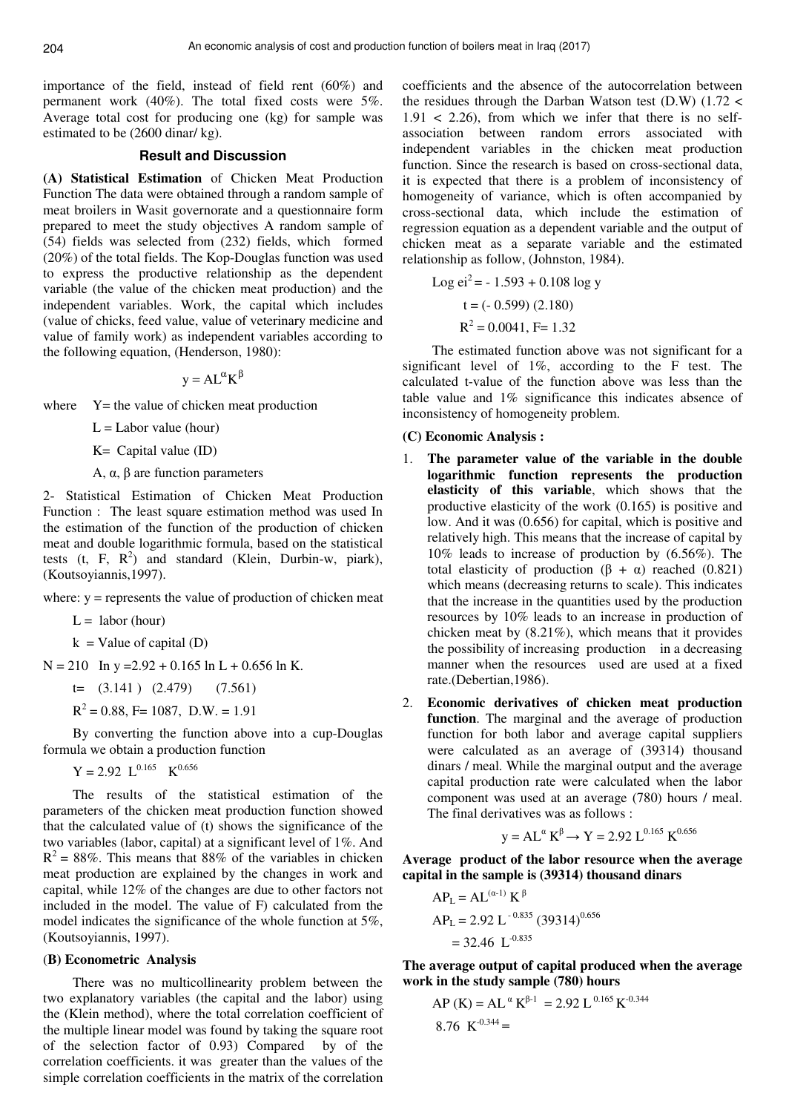importance of the field, instead of field rent (60%) and permanent work (40%). The total fixed costs were 5%. Average total cost for producing one (kg) for sample was estimated to be (2600 dinar/ kg).

## **Result and Discussion**

**(A) Statistical Estimation** of Chicken Meat Production Function The data were obtained through a random sample of meat broilers in Wasit governorate and a questionnaire form prepared to meet the study objectives A random sample of (54) fields was selected from (232) fields, which formed (20%) of the total fields. The Kop-Douglas function was used to express the productive relationship as the dependent variable (the value of the chicken meat production) and the independent variables. Work, the capital which includes (value of chicks, feed value, value of veterinary medicine and value of family work) as independent variables according to the following equation, (Henderson, 1980):

$$
y = AL^{\alpha}K^{\beta}
$$

where  $Y=$  the value of chicken meat production

 $L =$ Labor value (hour)

K= Capital value (ID)

A,  $\alpha$ ,  $\beta$  are function parameters

2- Statistical Estimation of Chicken Meat Production Function : The least square estimation method was used In the estimation of the function of the production of chicken meat and double logarithmic formula, based on the statistical tests (t, F,  $R^2$ ) and standard (Klein, Durbin-w, piark), (Koutsoyiannis,1997).

where:  $y =$  represents the value of production of chicken meat

 $L =$ labor (hour)

 $k =$ Value of capital (D)

 $N = 210$  In y = 2.92 + 0.165 ln L + 0.656 ln K.

 $t=$  (3.141) (2.479) (7.561)

 $R^2 = 0.88$ , F= 1087, D.W. = 1.91

By converting the function above into a cup-Douglas formula we obtain a production function

 $Y = 2.92$   $L^{0.165}$   $K^{0.656}$ 

The results of the statistical estimation of the parameters of the chicken meat production function showed that the calculated value of (t) shows the significance of the two variables (labor, capital) at a significant level of 1%. And  $R^2 = 88\%$ . This means that 88% of the variables in chicken meat production are explained by the changes in work and capital, while 12% of the changes are due to other factors not included in the model. The value of F) calculated from the model indicates the significance of the whole function at 5%, (Koutsoyiannis, 1997).

#### (**B) Econometric Analysis**

There was no multicollinearity problem between the two explanatory variables (the capital and the labor) using the (Klein method), where the total correlation coefficient of the multiple linear model was found by taking the square root of the selection factor of 0.93) Compared by of the correlation coefficients. it was greater than the values of the simple correlation coefficients in the matrix of the correlation

coefficients and the absence of the autocorrelation between the residues through the Darban Watson test (D.W) (1.72 <  $1.91 < 2.26$ , from which we infer that there is no selfassociation between random errors associated with independent variables in the chicken meat production function. Since the research is based on cross-sectional data, it is expected that there is a problem of inconsistency of homogeneity of variance, which is often accompanied by cross-sectional data, which include the estimation of regression equation as a dependent variable and the output of chicken meat as a separate variable and the estimated relationship as follow, (Johnston, 1984).

Log ei<sup>2</sup> = -1.593 + 0.108 log y  
\nt = (-0.599) (2.180)  
\n
$$
R^2
$$
 = 0.0041, F= 1.32

The estimated function above was not significant for a significant level of 1%, according to the F test. The calculated t-value of the function above was less than the table value and 1% significance this indicates absence of inconsistency of homogeneity problem.

#### **(C) Economic Analysis :**

- 1. **The parameter value of the variable in the double logarithmic function represents the production elasticity of this variable**, which shows that the productive elasticity of the work (0.165) is positive and low. And it was (0.656) for capital, which is positive and relatively high. This means that the increase of capital by 10% leads to increase of production by (6.56%). The total elasticity of production  $(\beta + \alpha)$  reached  $(0.821)$ which means (decreasing returns to scale). This indicates that the increase in the quantities used by the production resources by 10% leads to an increase in production of chicken meat by (8.21%), which means that it provides the possibility of increasing production in a decreasing manner when the resources used are used at a fixed rate.(Debertian,1986).
- 2. **Economic derivatives of chicken meat production function**. The marginal and the average of production function for both labor and average capital suppliers were calculated as an average of (39314) thousand dinars / meal. While the marginal output and the average capital production rate were calculated when the labor component was used at an average (780) hours / meal. The final derivatives was as follows :

$$
y = AL^{\alpha} K^{\beta} \rightarrow Y = 2.92 L^{0.165} K^{0.656}
$$

**Average product of the labor resource when the average capital in the sample is (39314) thousand dinars**

$$
AP_{L} = AL(\alpha-1) K\beta
$$
  
AP<sub>L</sub> = 2.92 L<sup>-0.835</sup> (39314)<sup>0.656</sup>  
= 32.46 L<sup>-0.835</sup>

**The average output of capital produced when the average work in the study sample (780) hours**

AP (K) = AL<sup>$$
\alpha
$$</sup> K <sup>$\beta$ -1</sup> = 2.92 L<sup>0.165</sup> K<sup>-0.344</sup>  
8.76 K<sup>-0.344</sup> =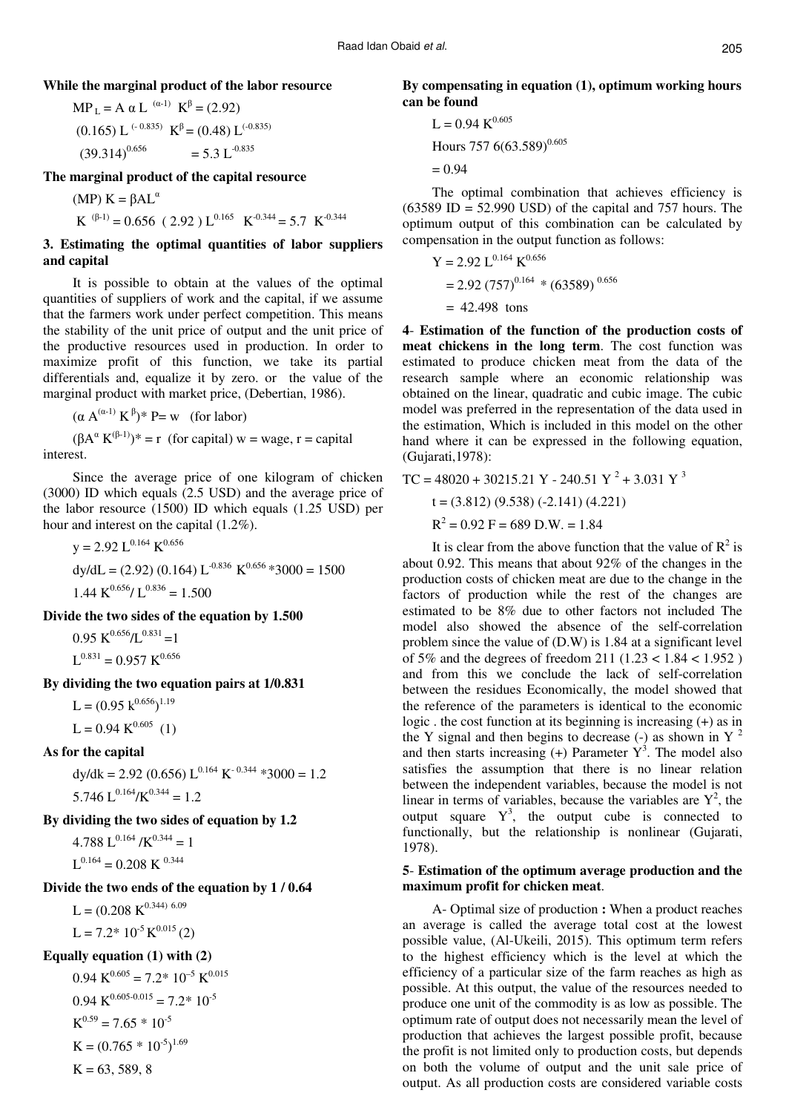**While the marginal product of the labor resource**

 $MP<sub>L</sub> = A α L<sup>(α-1)</sup> K<sup>β</sup> = (2.92)$  $(0.165)$  L<sup> $(-0.835)$ </sup> K<sup>β</sup> =  $(0.48)$  L<sup> $(-0.835)$ </sup>  $(39.314)^{0.656}$  $= 5.3 \mathrm{L}^{0.835}$ 

**The marginal product of the capital resource** 

(MP)  $K = βAL<sup>α</sup>$  $K^{(\beta-1)} = 0.656$  (2.92) L<sup>0.165</sup> K<sup>-0.344</sup> = 5.7 K<sup>-0.344</sup>

**3. Estimating the optimal quantities of labor suppliers and capital** 

It is possible to obtain at the values of the optimal quantities of suppliers of work and the capital, if we assume that the farmers work under perfect competition. This means the stability of the unit price of output and the unit price of the productive resources used in production. In order to maximize profit of this function, we take its partial differentials and, equalize it by zero. or the value of the marginal product with market price, (Debertian, 1986).

 $(\alpha A^{(\alpha-1)} K^{\beta})^*$  P= w (for labor)

 $(\beta A^{\alpha} K^{(\beta-1)})^* = r$  (for capital) w = wage, r = capital interest.

Since the average price of one kilogram of chicken (3000) ID which equals (2.5 USD) and the average price of the labor resource (1500) ID which equals (1.25 USD) per hour and interest on the capital (1.2%).

$$
y = 2.92 \, \text{L}^{0.164} \, \text{K}^{0.656}
$$
\n
$$
\text{dy/dL} = (2.92) \, (0.164) \, \text{L}^{-0.836} \, \text{K}^{0.656} \, *3000 = 1500
$$
\n
$$
1.44 \, \text{K}^{0.656} / \, \text{L}^{0.836} = 1.500
$$

**Divide the two sides of the equation by 1.500**

 $0.95 \text{ K}^{0.656}/\text{L}^{0.831}$  = 1  $L^{0.831} = 0.957 K^{0.656}$ 

**By dividing the two equation pairs at 1/0.831**

 $L = (0.95 \text{ k}^{0.656})^{1.19}$  $L = 0.94 \text{ K}^{0.605}$  (1)

#### **As for the capital**

 $dy/dk = 2.92$  (0.656)  $L^{0.164}$  K<sup>-0.344</sup> \*3000 = 1.2  $5.746 \text{ L}^{0.164} / \text{K}^{0.344} = 1.2$ 

**By dividing the two sides of equation by 1.2** 

4.788 L<sup>0.164</sup> /K<sup>0.344</sup> = 1  $L^{0.164} = 0.208 \text{ K}^{0.344}$ 

### **Divide the two ends of the equation by 1 / 0.64**

 $L = (0.208 \text{ K}^{0.344) \text{ 6.09}}$  $L = 7.2^* 10^{-5} K^{0.015} (2)$ 

#### **Equally equation (1) with (2)**

 $0.94 \text{ K}^{0.605} = 7.2 \times 10^{-5} \text{ K}^{0.015}$  $0.94 \text{ K}^{0.605 \cdot 0.015} = 7.2 \cdot 10^{-5}$  $K^{0.59} = 7.65 * 10^{-5}$  $K = (0.765 * 10^{-5})^{1.69}$  $K = 63, 589, 8$ 

**By compensating in equation (1), optimum working hours can be found** 

$$
L = 0.94 \text{ K}^{0.605}
$$
  
House 757 6(63.589)<sup>0.605</sup>  
= 0.94

The optimal combination that achieves efficiency is  $(63589 \text{ ID} = 52.990 \text{ USD})$  of the capital and 757 hours. The optimum output of this combination can be calculated by compensation in the output function as follows:

Y = 2.92 L0.164 K0.656 = 2.92 (757)0.164 \* (63589) 0.656 = 42.498 tons

**4**- **Estimation of the function of the production costs of meat chickens in the long term**. The cost function was estimated to produce chicken meat from the data of the research sample where an economic relationship was obtained on the linear, quadratic and cubic image. The cubic model was preferred in the representation of the data used in the estimation, Which is included in this model on the other hand where it can be expressed in the following equation, (Gujarati,1978):

$$
TC = 48020 + 30215.21 Y - 240.51 Y2 + 3.031 Y3
$$
  

$$
t = (3.812) (9.538) (-2.141) (4.221)
$$
  

$$
R2 = 0.92 F = 689 D.W. = 1.84
$$

It is clear from the above function that the value of  $R^2$  is about 0.92. This means that about 92% of the changes in the production costs of chicken meat are due to the change in the factors of production while the rest of the changes are estimated to be 8% due to other factors not included The model also showed the absence of the self-correlation problem since the value of (D.W) is 1.84 at a significant level of 5% and the degrees of freedom 211 (1.23 < 1.84 < 1.952 ) and from this we conclude the lack of self-correlation between the residues Economically, the model showed that the reference of the parameters is identical to the economic logic . the cost function at its beginning is increasing (+) as in the Y signal and then begins to decrease (-) as shown in  $Y<sup>2</sup>$ and then starts increasing  $(+)$  Parameter  $Y^3$ . The model also satisfies the assumption that there is no linear relation between the independent variables, because the model is not linear in terms of variables, because the variables are  $Y^2$ , the output square  $Y^3$ , the output cube is connected to functionally, but the relationship is nonlinear (Gujarati, 1978).

#### **5**- **Estimation of the optimum average production and the maximum profit for chicken meat**.

A- Optimal size of production : When a product reaches an average is called the average total cost at the lowest possible value, (Al-Ukeili, 2015). This optimum term refers to the highest efficiency which is the level at which the efficiency of a particular size of the farm reaches as high as possible. At this output, the value of the resources needed to produce one unit of the commodity is as low as possible. The optimum rate of output does not necessarily mean the level of production that achieves the largest possible profit, because the profit is not limited only to production costs, but depends on both the volume of output and the unit sale price of output. As all production costs are considered variable costs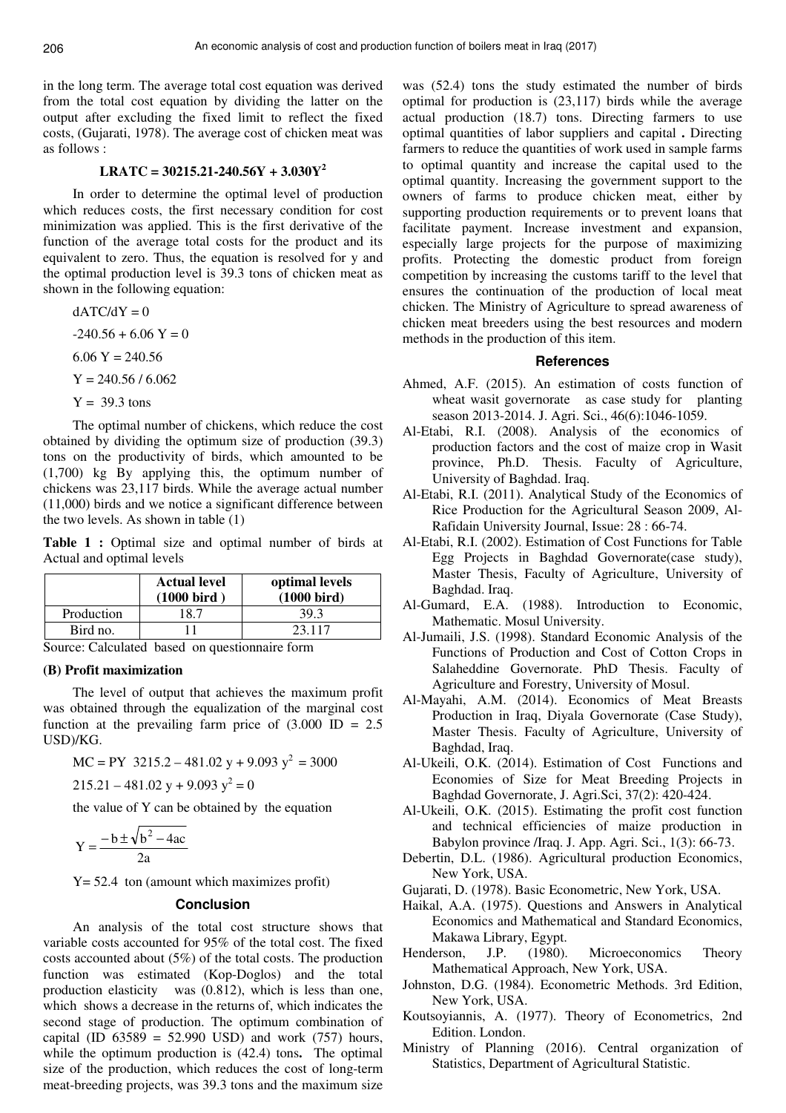in the long term. The average total cost equation was derived from the total cost equation by dividing the latter on the output after excluding the fixed limit to reflect the fixed costs, (Gujarati, 1978). The average cost of chicken meat was as follows :

## **LRATC = 30215.21-240.56Y + 3.030Y<sup>2</sup>**

In order to determine the optimal level of production which reduces costs, the first necessary condition for cost minimization was applied. This is the first derivative of the function of the average total costs for the product and its equivalent to zero. Thus, the equation is resolved for y and the optimal production level is 39.3 tons of chicken meat as shown in the following equation:

 $dATC/dY = 0$  $-240.56 + 6.06$  Y = 0  $6.06$  Y = 240.56  $Y = 240.56 / 6.062$  $Y = 39.3$  tons

The optimal number of chickens, which reduce the cost obtained by dividing the optimum size of production (39.3) tons on the productivity of birds, which amounted to be (1,700) kg By applying this, the optimum number of chickens was 23,117 birds. While the average actual number (11,000) birds and we notice a significant difference between the two levels. As shown in table (1)

**Table 1 :** Optimal size and optimal number of birds at Actual and optimal levels

|            | <b>Actual level</b><br>$(1000 \text{ bird})$ | optimal levels<br>$(1000 \text{ bird})$ |
|------------|----------------------------------------------|-----------------------------------------|
| Production | . 8 7                                        | 39.3                                    |
| Bird no.   |                                              | 23 117                                  |

Source: Calculated based on questionnaire form

#### **(B) Profit maximization**

The level of output that achieves the maximum profit was obtained through the equalization of the marginal cost function at the prevailing farm price of  $(3.000 \text{ ID} = 2.5$ USD)/KG.

$$
MC = PY \ 3215.2 - 481.02 \ y + 9.093 \ y^2 = 3000
$$

 $215.21 - 481.02$  y + 9.093 y<sup>2</sup> = 0

the value of Y can be obtained by the equation

$$
Y = \frac{-b \pm \sqrt{b^2 - 4ac}}{2a}
$$

Y= 52.4ton (amount which maximizes profit)

#### **Conclusion**

An analysis of the total cost structure shows that variable costs accounted for 95% of the total cost. The fixed costs accounted about (5%) of the total costs. The production function was estimated (Kop-Doglos) and the total production elasticity was (0.812), which is less than one, which shows a decrease in the returns of, which indicates the second stage of production. The optimum combination of capital (ID  $63589 = 52.990$  USD) and work (757) hours, while the optimum production is  $(42.4)$  tons. The optimal size of the production, which reduces the cost of long-term meat-breeding projects, was 39.3 tons and the maximum size

was (52.4) tons the study estimated the number of birds optimal for production is (23,117) birds while the average actual production (18.7) tons. Directing farmers to use optimal quantities of labor suppliers and capital . Directing farmers to reduce the quantities of work used in sample farms to optimal quantity and increase the capital used to the optimal quantity. Increasing the government support to the owners of farms to produce chicken meat, either by supporting production requirements or to prevent loans that facilitate payment. Increase investment and expansion, especially large projects for the purpose of maximizing profits. Protecting the domestic product from foreign competition by increasing the customs tariff to the level that ensures the continuation of the production of local meat chicken. The Ministry of Agriculture to spread awareness of chicken meat breeders using the best resources and modern methods in the production of this item.

#### **References**

- Ahmed, A.F. (2015). An estimation of costs function of wheat wasit governorate as case study for planting season 2013-2014. J. Agri. Sci., 46(6):1046-1059.
- Al-Etabi, R.I. (2008). Analysis of the economics of production factors and the cost of maize crop in Wasit province, Ph.D. Thesis. Faculty of Agriculture, University of Baghdad. Iraq.
- Al-Etabi, R.I. (2011). Analytical Study of the Economics of Rice Production for the Agricultural Season 2009, Al-Rafidain University Journal, Issue: 28 : 66-74.
- Al-Etabi, R.I. (2002). Estimation of Cost Functions for Table Egg Projects in Baghdad Governorate(case study), Master Thesis, Faculty of Agriculture, University of Baghdad. Iraq.
- Al-Gumard, E.A. (1988). Introduction to Economic, Mathematic. Mosul University.
- Al-Jumaili, J.S. (1998). Standard Economic Analysis of the Functions of Production and Cost of Cotton Crops in Salaheddine Governorate. PhD Thesis. Faculty of Agriculture and Forestry, University of Mosul.
- Al-Mayahi, A.M. (2014). Economics of Meat Breasts Production in Iraq, Diyala Governorate (Case Study), Master Thesis. Faculty of Agriculture, University of Baghdad, Iraq.
- Al-Ukeili, O.K. (2014). Estimation of Cost Functions and Economies of Size for Meat Breeding Projects in Baghdad Governorate, J. Agri.Sci, 37(2): 420-424.
- Al-Ukeili, O.K. (2015). Estimating the profit cost function and technical efficiencies of maize production in Babylon province /Iraq. J. App. Agri. Sci., 1(3): 66-73.
- Debertin, D.L. (1986). Agricultural production Economics, New York, USA.
- Gujarati, D. (1978). Basic Econometric, New York, USA.
- Haikal, A.A. (1975). Questions and Answers in Analytical Economics and Mathematical and Standard Economics, Makawa Library, Egypt.
- Henderson, J.P. (1980). Microeconomics Theory Mathematical Approach, New York, USA.
- Johnston, D.G. (1984). Econometric Methods. 3rd Edition, New York, USA.
- Koutsoyiannis, A. (1977). Theory of Econometrics, 2nd Edition. London.
- Ministry of Planning (2016). Central organization of Statistics, Department of Agricultural Statistic.